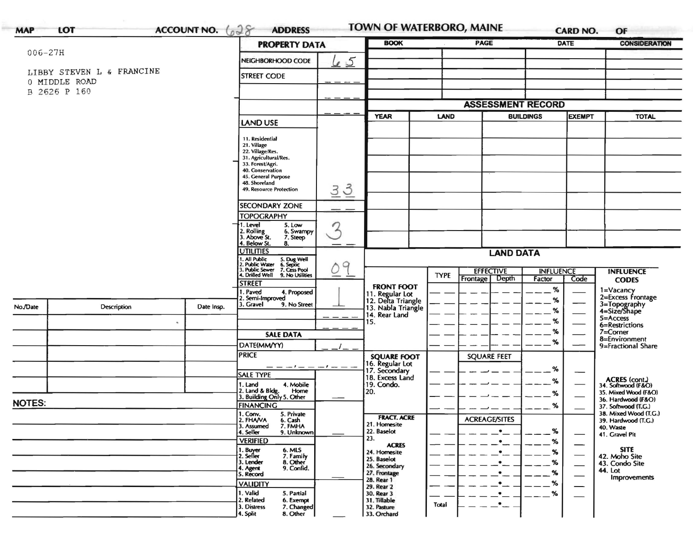|                           |                 | <b>PROPERTY DATA</b>                              |                                                                                                                                                                                                                                                                                                                                                                                                                                                                                                                                                                                                                                                                                    |                                                                  |                                                                                                                                                                                              |                                                                            |                                                                 |                                                                                    |                                                                       |
|---------------------------|-----------------|---------------------------------------------------|------------------------------------------------------------------------------------------------------------------------------------------------------------------------------------------------------------------------------------------------------------------------------------------------------------------------------------------------------------------------------------------------------------------------------------------------------------------------------------------------------------------------------------------------------------------------------------------------------------------------------------------------------------------------------------|------------------------------------------------------------------|----------------------------------------------------------------------------------------------------------------------------------------------------------------------------------------------|----------------------------------------------------------------------------|-----------------------------------------------------------------|------------------------------------------------------------------------------------|-----------------------------------------------------------------------|
|                           |                 | NEIGHBORHOOD CODE                                 | <u>le 5</u>                                                                                                                                                                                                                                                                                                                                                                                                                                                                                                                                                                                                                                                                        |                                                                  |                                                                                                                                                                                              |                                                                            |                                                                 |                                                                                    |                                                                       |
| LIBBY STEVEN L & FRANCINE |                 | <b>STREET CODE</b>                                |                                                                                                                                                                                                                                                                                                                                                                                                                                                                                                                                                                                                                                                                                    |                                                                  |                                                                                                                                                                                              |                                                                            |                                                                 |                                                                                    |                                                                       |
| 0 MIDDLE ROAD             |                 |                                                   |                                                                                                                                                                                                                                                                                                                                                                                                                                                                                                                                                                                                                                                                                    |                                                                  |                                                                                                                                                                                              |                                                                            |                                                                 |                                                                                    |                                                                       |
|                           |                 |                                                   |                                                                                                                                                                                                                                                                                                                                                                                                                                                                                                                                                                                                                                                                                    |                                                                  |                                                                                                                                                                                              |                                                                            |                                                                 |                                                                                    |                                                                       |
|                           |                 |                                                   |                                                                                                                                                                                                                                                                                                                                                                                                                                                                                                                                                                                                                                                                                    |                                                                  |                                                                                                                                                                                              |                                                                            |                                                                 |                                                                                    |                                                                       |
|                           |                 |                                                   | <b>YEAR</b><br><b>LAND</b>                                                                                                                                                                                                                                                                                                                                                                                                                                                                                                                                                                                                                                                         |                                                                  |                                                                                                                                                                                              | <b>BUILDINGS</b>                                                           |                                                                 | <b>TOTAL</b>                                                                       |                                                                       |
|                           |                 |                                                   |                                                                                                                                                                                                                                                                                                                                                                                                                                                                                                                                                                                                                                                                                    |                                                                  |                                                                                                                                                                                              |                                                                            |                                                                 |                                                                                    |                                                                       |
|                           |                 | 11. Residential                                   |                                                                                                                                                                                                                                                                                                                                                                                                                                                                                                                                                                                                                                                                                    |                                                                  |                                                                                                                                                                                              |                                                                            |                                                                 |                                                                                    |                                                                       |
|                           |                 |                                                   |                                                                                                                                                                                                                                                                                                                                                                                                                                                                                                                                                                                                                                                                                    |                                                                  |                                                                                                                                                                                              |                                                                            |                                                                 |                                                                                    |                                                                       |
|                           |                 |                                                   |                                                                                                                                                                                                                                                                                                                                                                                                                                                                                                                                                                                                                                                                                    |                                                                  |                                                                                                                                                                                              |                                                                            |                                                                 |                                                                                    |                                                                       |
|                           |                 | 40. Conservation                                  |                                                                                                                                                                                                                                                                                                                                                                                                                                                                                                                                                                                                                                                                                    |                                                                  |                                                                                                                                                                                              |                                                                            |                                                                 |                                                                                    |                                                                       |
|                           |                 |                                                   |                                                                                                                                                                                                                                                                                                                                                                                                                                                                                                                                                                                                                                                                                    |                                                                  |                                                                                                                                                                                              |                                                                            |                                                                 |                                                                                    |                                                                       |
|                           |                 | 49. Resource Protection                           |                                                                                                                                                                                                                                                                                                                                                                                                                                                                                                                                                                                                                                                                                    |                                                                  |                                                                                                                                                                                              |                                                                            |                                                                 |                                                                                    |                                                                       |
|                           |                 |                                                   |                                                                                                                                                                                                                                                                                                                                                                                                                                                                                                                                                                                                                                                                                    |                                                                  |                                                                                                                                                                                              |                                                                            |                                                                 |                                                                                    |                                                                       |
|                           |                 | <b>TOPOGRAPHY</b>                                 |                                                                                                                                                                                                                                                                                                                                                                                                                                                                                                                                                                                                                                                                                    |                                                                  |                                                                                                                                                                                              |                                                                            |                                                                 |                                                                                    |                                                                       |
|                           |                 | . Level<br>5. Low                                 |                                                                                                                                                                                                                                                                                                                                                                                                                                                                                                                                                                                                                                                                                    |                                                                  |                                                                                                                                                                                              |                                                                            |                                                                 |                                                                                    |                                                                       |
|                           |                 | 7. Steep                                          |                                                                                                                                                                                                                                                                                                                                                                                                                                                                                                                                                                                                                                                                                    |                                                                  |                                                                                                                                                                                              |                                                                            |                                                                 |                                                                                    |                                                                       |
|                           |                 | <b>UTILITIES</b>                                  |                                                                                                                                                                                                                                                                                                                                                                                                                                                                                                                                                                                                                                                                                    |                                                                  |                                                                                                                                                                                              |                                                                            |                                                                 |                                                                                    |                                                                       |
|                           |                 |                                                   |                                                                                                                                                                                                                                                                                                                                                                                                                                                                                                                                                                                                                                                                                    |                                                                  |                                                                                                                                                                                              |                                                                            |                                                                 |                                                                                    |                                                                       |
|                           |                 |                                                   |                                                                                                                                                                                                                                                                                                                                                                                                                                                                                                                                                                                                                                                                                    |                                                                  |                                                                                                                                                                                              | <b>EFFECTIVE</b>                                                           |                                                                 |                                                                                    | <b>INFLUENCE</b>                                                      |
|                           |                 | <b>STREET</b>                                     |                                                                                                                                                                                                                                                                                                                                                                                                                                                                                                                                                                                                                                                                                    |                                                                  |                                                                                                                                                                                              |                                                                            |                                                                 |                                                                                    | <b>CODES</b>                                                          |
|                           |                 | I. Paved<br>4. Proposed                           |                                                                                                                                                                                                                                                                                                                                                                                                                                                                                                                                                                                                                                                                                    |                                                                  |                                                                                                                                                                                              |                                                                            |                                                                 |                                                                                    | 1=Vacancy<br>2=Excess Frontage                                        |
|                           |                 | 3. Gravel<br>9. No Street                         |                                                                                                                                                                                                                                                                                                                                                                                                                                                                                                                                                                                                                                                                                    |                                                                  |                                                                                                                                                                                              |                                                                            |                                                                 |                                                                                    | 3=Topography<br>4=Size/Shape                                          |
|                           |                 |                                                   |                                                                                                                                                                                                                                                                                                                                                                                                                                                                                                                                                                                                                                                                                    |                                                                  |                                                                                                                                                                                              |                                                                            |                                                                 |                                                                                    |                                                                       |
|                           |                 |                                                   |                                                                                                                                                                                                                                                                                                                                                                                                                                                                                                                                                                                                                                                                                    | 15.                                                              |                                                                                                                                                                                              |                                                                            |                                                                 |                                                                                    | 5=Access<br>6=Restrictions                                            |
|                           |                 | <b>SALE DATA</b>                                  |                                                                                                                                                                                                                                                                                                                                                                                                                                                                                                                                                                                                                                                                                    |                                                                  |                                                                                                                                                                                              |                                                                            | ℅                                                               |                                                                                    | $7 =$ Corner                                                          |
|                           |                 |                                                   |                                                                                                                                                                                                                                                                                                                                                                                                                                                                                                                                                                                                                                                                                    |                                                                  |                                                                                                                                                                                              |                                                                            | ℅                                                               |                                                                                    | 8=Environment<br>9=Fractional Share                                   |
|                           |                 | <b>PRICE</b>                                      |                                                                                                                                                                                                                                                                                                                                                                                                                                                                                                                                                                                                                                                                                    |                                                                  |                                                                                                                                                                                              |                                                                            |                                                                 |                                                                                    |                                                                       |
|                           |                 |                                                   |                                                                                                                                                                                                                                                                                                                                                                                                                                                                                                                                                                                                                                                                                    | 16. Regular Lot                                                  |                                                                                                                                                                                              |                                                                            |                                                                 |                                                                                    |                                                                       |
|                           |                 | <b>SALE TYPE</b>                                  |                                                                                                                                                                                                                                                                                                                                                                                                                                                                                                                                                                                                                                                                                    |                                                                  |                                                                                                                                                                                              |                                                                            |                                                                 |                                                                                    |                                                                       |
|                           |                 | 4. Mobile<br>1. Land                              |                                                                                                                                                                                                                                                                                                                                                                                                                                                                                                                                                                                                                                                                                    | 19. Condo.                                                       |                                                                                                                                                                                              |                                                                            |                                                                 |                                                                                    | ACRES (cont.)<br>34. Softwood (F&O)                                   |
|                           |                 |                                                   |                                                                                                                                                                                                                                                                                                                                                                                                                                                                                                                                                                                                                                                                                    |                                                                  |                                                                                                                                                                                              |                                                                            | %                                                               |                                                                                    | 35. Mixed Wood (F&O)<br>36. Hardwood (F&O)                            |
| <b>NOTES:</b>             |                 | <b>FINANCING</b>                                  |                                                                                                                                                                                                                                                                                                                                                                                                                                                                                                                                                                                                                                                                                    |                                                                  |                                                                                                                                                                                              |                                                                            | %                                                               |                                                                                    | 37. Softwood (T.G.)                                                   |
|                           |                 |                                                   |                                                                                                                                                                                                                                                                                                                                                                                                                                                                                                                                                                                                                                                                                    |                                                                  |                                                                                                                                                                                              |                                                                            |                                                                 |                                                                                    | 38. Mixed Wood (T.G.)                                                 |
|                           |                 | 7. FMHA<br>3. Assumed                             |                                                                                                                                                                                                                                                                                                                                                                                                                                                                                                                                                                                                                                                                                    | 21. Homesite                                                     |                                                                                                                                                                                              |                                                                            |                                                                 |                                                                                    | 39. Hardwood (T.G.)<br>40. Waste                                      |
|                           |                 |                                                   |                                                                                                                                                                                                                                                                                                                                                                                                                                                                                                                                                                                                                                                                                    |                                                                  |                                                                                                                                                                                              |                                                                            |                                                                 |                                                                                    | 41. Gravel Pit                                                        |
|                           |                 |                                                   |                                                                                                                                                                                                                                                                                                                                                                                                                                                                                                                                                                                                                                                                                    | <b>ACRES</b>                                                     |                                                                                                                                                                                              |                                                                            |                                                                 |                                                                                    | <b>SITE</b>                                                           |
|                           |                 |                                                   |                                                                                                                                                                                                                                                                                                                                                                                                                                                                                                                                                                                                                                                                                    |                                                                  |                                                                                                                                                                                              |                                                                            |                                                                 |                                                                                    | 42. Moho Site                                                         |
|                           |                 |                                                   |                                                                                                                                                                                                                                                                                                                                                                                                                                                                                                                                                                                                                                                                                    | 26. Secondary                                                    |                                                                                                                                                                                              |                                                                            |                                                                 |                                                                                    | 43. Condo Site                                                        |
|                           |                 |                                                   |                                                                                                                                                                                                                                                                                                                                                                                                                                                                                                                                                                                                                                                                                    | 27. Frontage                                                     |                                                                                                                                                                                              |                                                                            | %                                                               |                                                                                    | 44. Lot<br>Improvements                                               |
|                           | <b>VALIDITY</b> |                                                   | 29. Rear 2                                                                                                                                                                                                                                                                                                                                                                                                                                                                                                                                                                                                                                                                         |                                                                  |                                                                                                                                                                                              | %                                                                          |                                                                 |                                                                                    |                                                                       |
|                           |                 |                                                   |                                                                                                                                                                                                                                                                                                                                                                                                                                                                                                                                                                                                                                                                                    |                                                                  |                                                                                                                                                                                              |                                                                            |                                                                 |                                                                                    |                                                                       |
|                           |                 | 1. Valid<br>5. Partial<br>2. Related<br>6. Exempt |                                                                                                                                                                                                                                                                                                                                                                                                                                                                                                                                                                                                                                                                                    | 30. Rear 3<br>31. Tillable                                       |                                                                                                                                                                                              |                                                                            | $\%$                                                            |                                                                                    |                                                                       |
|                           | Description     | Date Insp.                                        | LAND USE<br>21. Village<br>22. Village/Res.<br>31. Agricultural/Res.<br>33. Forest/Agri.<br>45. General Purpose<br>48. Shoreland<br><b>SECONDARY ZONE</b><br>2. Rolling<br>3. Above St.<br>6. Swampy<br>4. Below St.<br>8.<br>1. All Public<br>2. Public Water<br>3. Public Sewer<br>4. Drilled Well<br>5. Dug Well<br>6. Septic<br>7. Cess Pool<br>9. No Utilities<br>2. Semi-Improved<br>DATE(MM/YY)<br>2. Land & Bldg. Home<br>3. Building Only 5. Other<br>Home<br>1. Conv.<br>5. Private<br>2. FHAVA<br>6. Cash<br>4. Seller<br>9. Unknown<br><b>VERIFIED</b><br>1. Buyer<br>2. Seller<br>6. MLS<br>7. Family<br>3. Lender<br>8. Other<br>9. Confid.<br>4. Agent<br>5. Record | $\frac{3}{2}$<br>$\overline{3}$<br>2<br>q<br>— — — ! — — — ! — — | <b>FRONT FOOT</b><br>14. Rear Land<br><b>SQUARE FOOT</b><br>17. Secondary<br>18. Excess Land<br>20.<br><b>FRACT. ACRE</b><br>22. Baselot<br>23.<br>24. Homesite<br>25. Baselot<br>28. Rear 1 | <b>TYPE</b><br>11. Regular Lot<br>12. Delta Triangle<br>13. Nabla Triangle | Depth<br>Frontage<br><b>SQUARE FEET</b><br><b>ACREAGE/SITES</b> | <b>LAND DATA</b><br>Factor<br>%<br>%<br>℅<br>%<br>%<br>%<br>$\%$<br>$\%$<br>%<br>% | <b>ASSESSMENT RECORD</b><br><b>EXEMPT</b><br><b>INFLUENCE</b><br>Code |